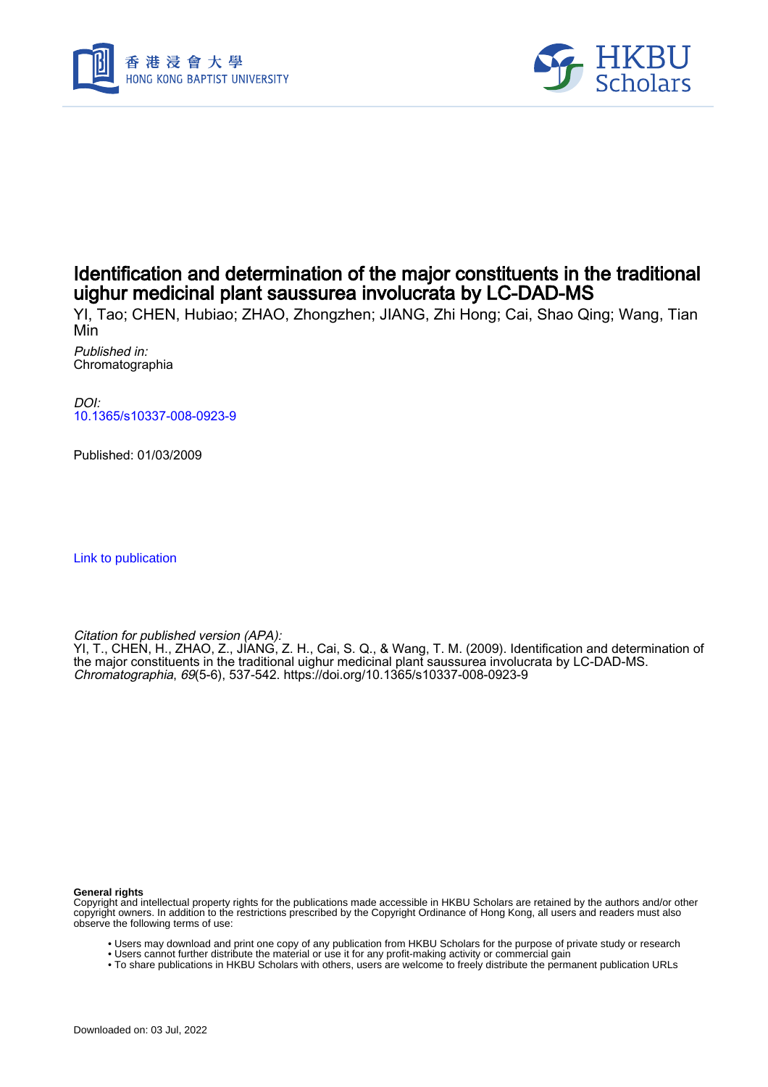



# Identification and determination of the major constituents in the traditional uighur medicinal plant saussurea involucrata by LC-DAD-MS

YI, Tao; CHEN, Hubiao; ZHAO, Zhongzhen; JIANG, Zhi Hong; Cai, Shao Qing; Wang, Tian Min

Published in: Chromatographia

DOI: [10.1365/s10337-008-0923-9](https://doi.org/10.1365/s10337-008-0923-9)

Published: 01/03/2009

[Link to publication](https://scholars.hkbu.edu.hk/en/publications/57c4426a-d96c-4aaa-acca-4c696b15f244)

Citation for published version (APA):

YI, T., CHEN, H., ZHAO, Z., JIANG, Z. H., Cai, S. Q., & Wang, T. M. (2009). Identification and determination of the major constituents in the traditional uighur medicinal plant saussurea involucrata by LC-DAD-MS. Chromatographia, 69(5-6), 537-542. <https://doi.org/10.1365/s10337-008-0923-9>

**General rights**

Copyright and intellectual property rights for the publications made accessible in HKBU Scholars are retained by the authors and/or other copyright owners. In addition to the restrictions prescribed by the Copyright Ordinance of Hong Kong, all users and readers must also observe the following terms of use:

- Users may download and print one copy of any publication from HKBU Scholars for the purpose of private study or research
- Users cannot further distribute the material or use it for any profit-making activity or commercial gain
- To share publications in HKBU Scholars with others, users are welcome to freely distribute the permanent publication URLs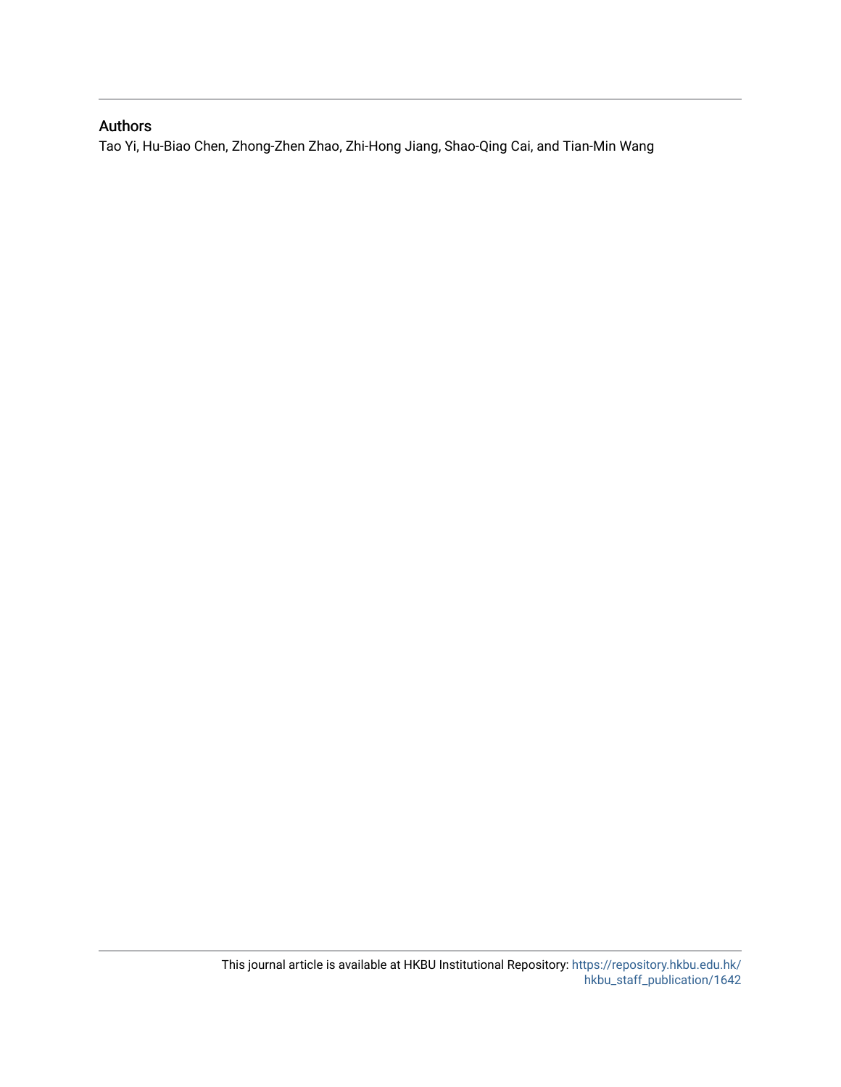### Authors

Tao Yi, Hu-Biao Chen, Zhong-Zhen Zhao, Zhi-Hong Jiang, Shao-Qing Cai, and Tian-Min Wang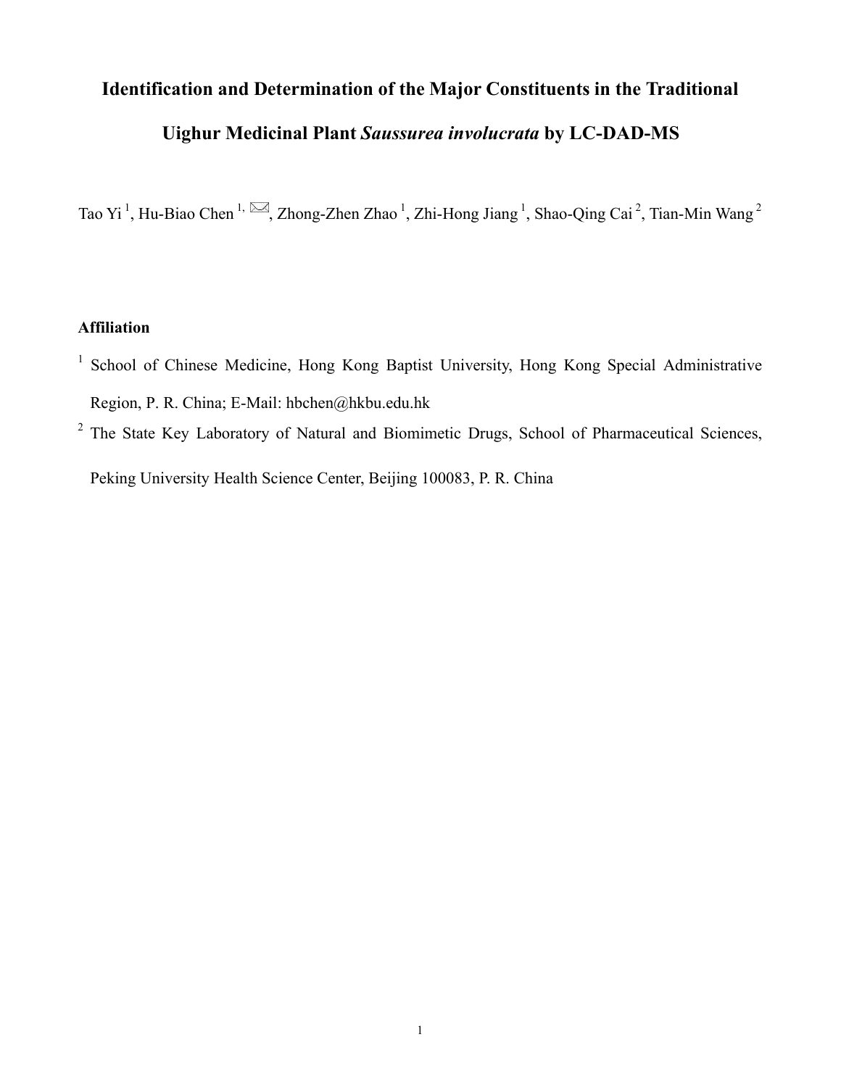# **Identification and Determination of the Major Constituents in the Traditional**

# **Uighur Medicinal Plant** *Saussurea involucrata* **by LC-DAD-MS**

Tao Yi<sup>1</sup>, Hu-Biao Chen<sup>1, M</sup>, Zhong-Zhen Zhao<sup>1</sup>, Zhi-Hong Jiang<sup>1</sup>, Shao-Qing Cai<sup>2</sup>, Tian-Min Wang<sup>2</sup>

## **Affiliation**

- <sup>1</sup> School of Chinese Medicine, Hong Kong Baptist University, Hong Kong Special Administrative Region, P. R. China; E-Mail: hbchen@hkbu.edu.hk
- <sup>2</sup> The State Key Laboratory of Natural and Biomimetic Drugs, School of Pharmaceutical Sciences, Peking University Health Science Center, Beijing 100083, P. R. China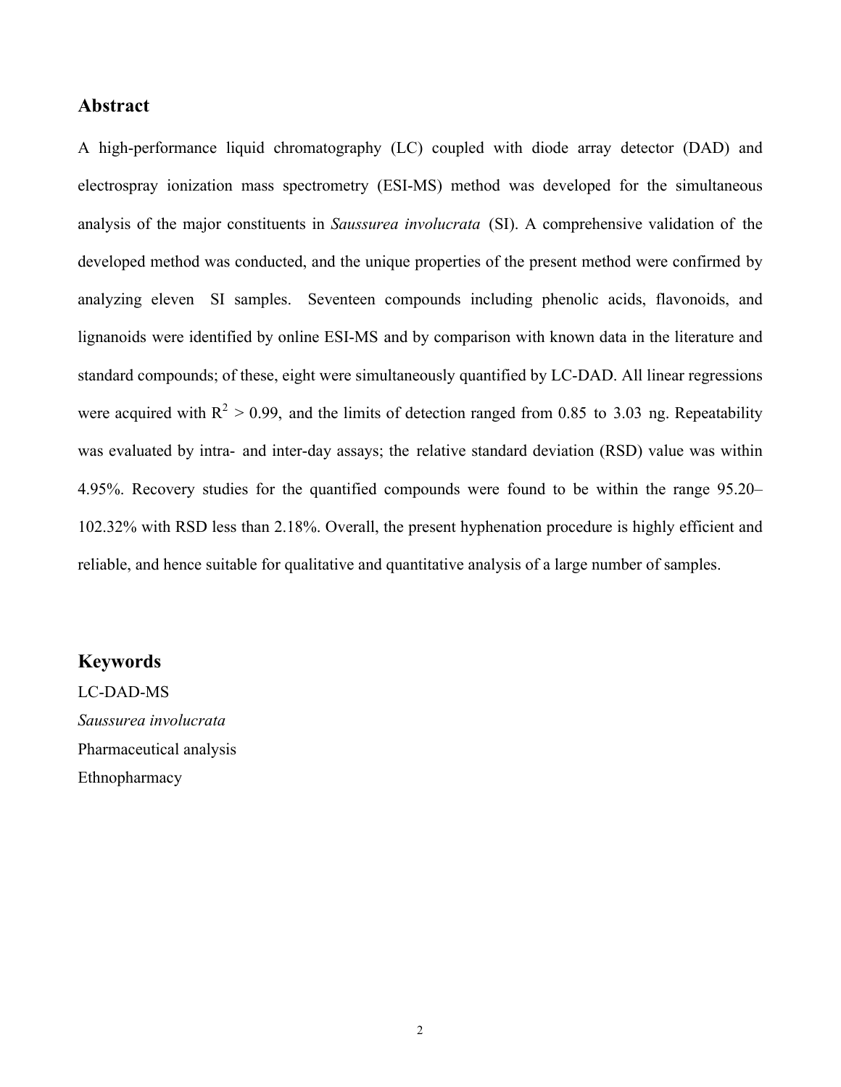### **Abstract**

A high-performance liquid chromatography (LC) coupled with diode array detector (DAD) and electrospray ionization mass spectrometry (ESI-MS) method was developed for the simultaneous analysis of the major constituents in *Saussurea involucrata* (SI). A comprehensive validation of the developed method was conducted, and the unique properties of the present method were confirmed by analyzing eleven SI samples. Seventeen compounds including phenolic acids, flavonoids, and lignanoids were identified by online ESI-MS and by comparison with known data in the literature and standard compounds; of these, eight were simultaneously quantified by LC-DAD. All linear regressions were acquired with  $R^2 > 0.99$ , and the limits of detection ranged from 0.85 to 3.03 ng. Repeatability was evaluated by intra- and inter-day assays; the relative standard deviation (RSD) value was within 4.95%. Recovery studies for the quantified compounds were found to be within the range 95.20– 102.32% with RSD less than 2.18%. Overall, the present hyphenation procedure is highly efficient and reliable, and hence suitable for qualitative and quantitative analysis of a large number of samples.

#### **Keywords**

LC-DAD-MS *Saussurea involucrata* Pharmaceutical analysis Ethnopharmacy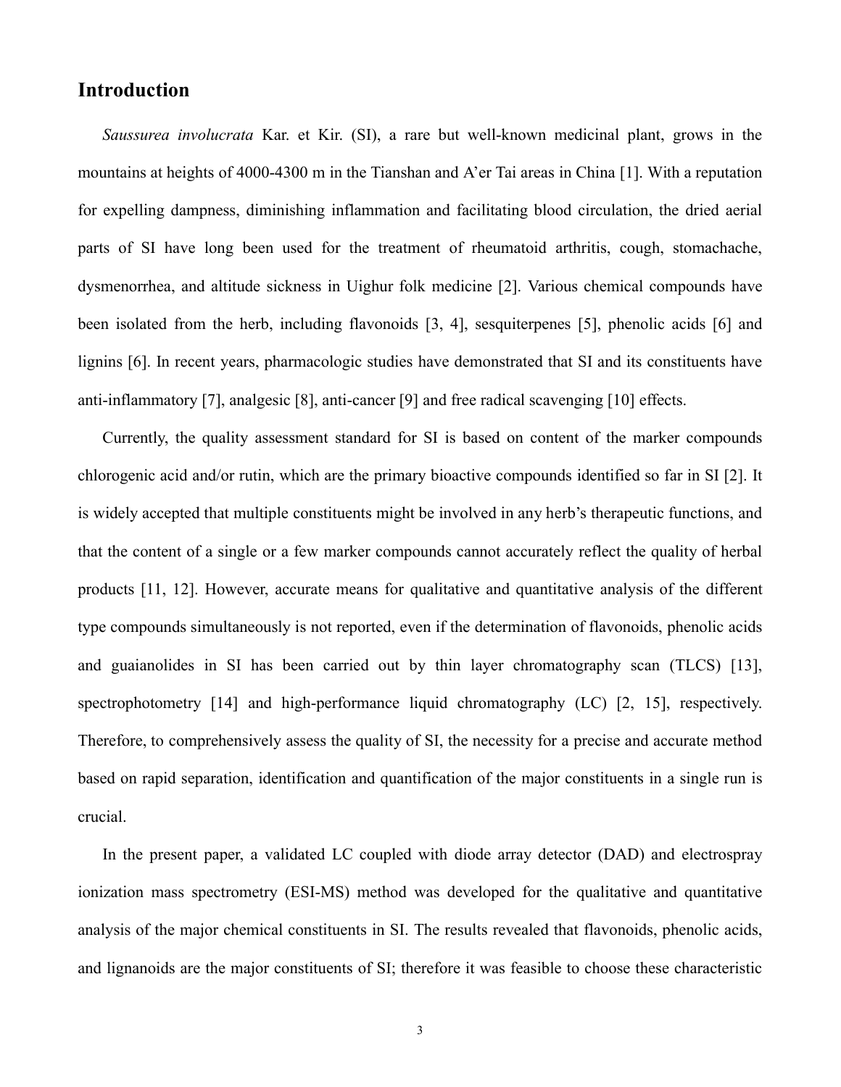# **Introduction**

*Saussurea involucrata* Kar. et Kir. (SI), a rare but well-known medicinal plant, grows in the mountains at heights of 4000-4300 m in the Tianshan and A'er Tai areas in China [1]. With a reputation for expelling dampness, diminishing inflammation and facilitating blood circulation, the dried aerial parts of SI have long been used for the treatment of rheumatoid arthritis, cough, stomachache, dysmenorrhea, and altitude sickness in Uighur folk medicine [2]. Various chemical compounds have been isolated from the herb, including flavonoids [3, 4], sesquiterpenes [5], phenolic acids [6] and lignins [6]. In recent years, pharmacologic studies have demonstrated that SI and its constituents have anti-inflammatory [7], analgesic [8], anti-cancer [9] and free radical scavenging [10] effects.

Currently, the quality assessment standard for SI is based on content of the marker compounds chlorogenic acid and/or rutin, which are the primary bioactive compounds identified so far in SI [2]. It is widely accepted that multiple constituents might be involved in any herb's therapeutic functions, and that the content of a single or a few marker compounds cannot accurately reflect the quality of herbal products [11, 12]. However, accurate means for qualitative and quantitative analysis of the different type compounds simultaneously is not reported, even if the determination of flavonoids, phenolic acids and guaianolides in SI has been carried out by thin layer chromatography scan (TLCS) [13], spectrophotometry [14] and high-performance liquid chromatography (LC) [2, 15], respectively. Therefore, to comprehensively assess the quality of SI, the necessity for a precise and accurate method based on rapid separation, identification and quantification of the major constituents in a single run is crucial.

In the present paper, a validated LC coupled with diode array detector (DAD) and electrospray ionization mass spectrometry (ESI-MS) method was developed for the qualitative and quantitative analysis of the major chemical constituents in SI. The results revealed that flavonoids, phenolic acids, and lignanoids are the major constituents of SI; therefore it was feasible to choose these characteristic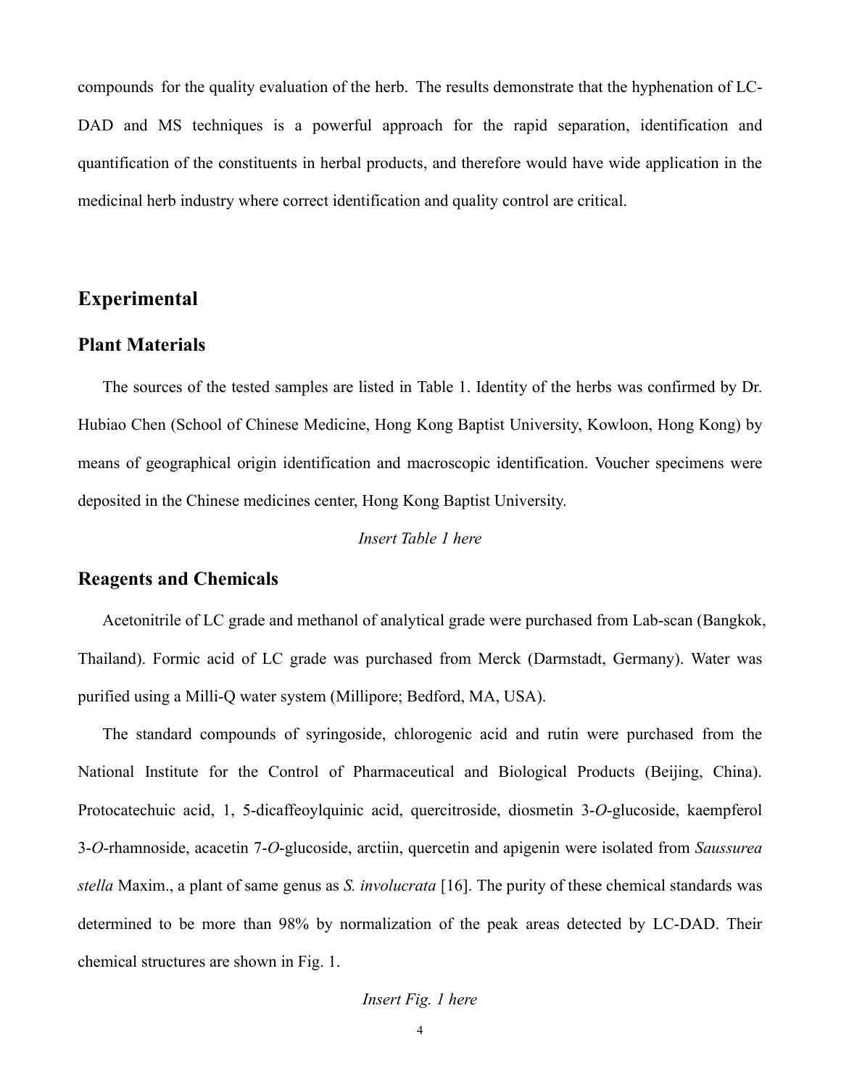compounds for the quality evaluation of the herb. The results demonstrate that the hyphenation of LC-DAD and MS techniques is a powerful approach for the rapid separation, identification and quantification of the constituents in herbal products, and therefore would have wide application in the medicinal herb industry where correct identification and quality control are critical.

# **Experimental**

### **Plant Materials**

The sources of the tested samples are listed in Table 1. Identity of the herbs was confirmed by Dr. Hubiao Chen (School of Chinese Medicine, Hong Kong Baptist University, Kowloon, Hong Kong) by means of geographical origin identification and macroscopic identification. Voucher specimens were deposited in the Chinese medicines center, Hong Kong Baptist University.

#### *Insert Table 1 here*

### **Reagents and Chemicals**

Acetonitrile of LC grade and methanol of analytical grade were purchased from Lab-scan (Bangkok, Thailand). Formic acid of LC grade was purchased from Merck (Darmstadt, Germany). Water was purified using a Milli-Q water system (Millipore; Bedford, MA, USA).

The standard compounds of syringoside, chlorogenic acid and rutin were purchased from the National Institute for the Control of Pharmaceutical and Biological Products (Beijing, China). Protocatechuic acid, 1, 5-dicaffeoylquinic acid, quercitroside, diosmetin 3-*O*-glucoside, kaempferol 3-*O*-rhamnoside, acacetin 7-*O*-glucoside, arctiin, quercetin and apigenin were isolated from *Saussurea stella* Maxim., a plant of same genus as *S. involucrata* [16]. The purity of these chemical standards was determined to be more than 98% by normalization of the peak areas detected by LC-DAD. Their chemical structures are shown in Fig. 1.

#### *Insert Fig. 1 here*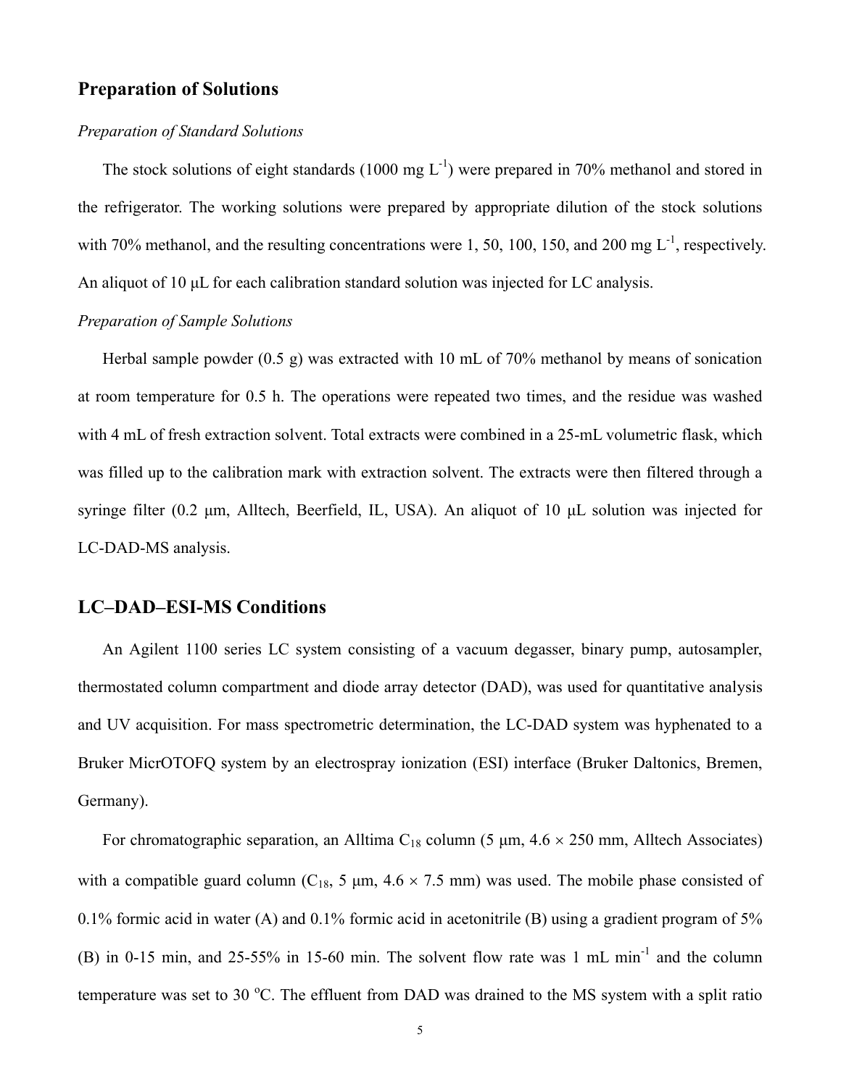## **Preparation of Solutions**

#### *Preparation of Standard Solutions*

The stock solutions of eight standards (1000 mg  $L^{-1}$ ) were prepared in 70% methanol and stored in the refrigerator. The working solutions were prepared by appropriate dilution of the stock solutions with 70% methanol, and the resulting concentrations were 1, 50, 100, 150, and 200 mg  $L^{-1}$ , respectively. An aliquot of 10 μL for each calibration standard solution was injected for LC analysis.

### *Preparation of Sample Solutions*

Herbal sample powder  $(0.5 \text{ g})$  was extracted with 10 mL of 70% methanol by means of sonication at room temperature for 0.5 h. The operations were repeated two times, and the residue was washed with 4 mL of fresh extraction solvent. Total extracts were combined in a 25-mL volumetric flask, which was filled up to the calibration mark with extraction solvent. The extracts were then filtered through a syringe filter (0.2 μm, Alltech, Beerfield, IL, USA). An aliquot of 10 μL solution was injected for LC-DAD-MS analysis.

### **LC–DAD–ESI-MS Conditions**

An Agilent 1100 series LC system consisting of a vacuum degasser, binary pump, autosampler, thermostated column compartment and diode array detector (DAD), was used for quantitative analysis and UV acquisition. For mass spectrometric determination, the LC-DAD system was hyphenated to a Bruker MicrOTOFQ system by an electrospray ionization (ESI) interface (Bruker Daltonics, Bremen, Germany).

For chromatographic separation, an Alltima C<sub>18</sub> column (5  $\mu$ m, 4.6  $\times$  250 mm, Alltech Associates) with a compatible guard column ( $C_{18}$ , 5  $\mu$ m, 4.6  $\times$  7.5 mm) was used. The mobile phase consisted of 0.1% formic acid in water (A) and 0.1% formic acid in acetonitrile (B) using a gradient program of 5% (B) in 0-15 min, and 25-55% in 15-60 min. The solvent flow rate was 1 mL min-1 and the column temperature was set to 30  $^{\circ}$ C. The effluent from DAD was drained to the MS system with a split ratio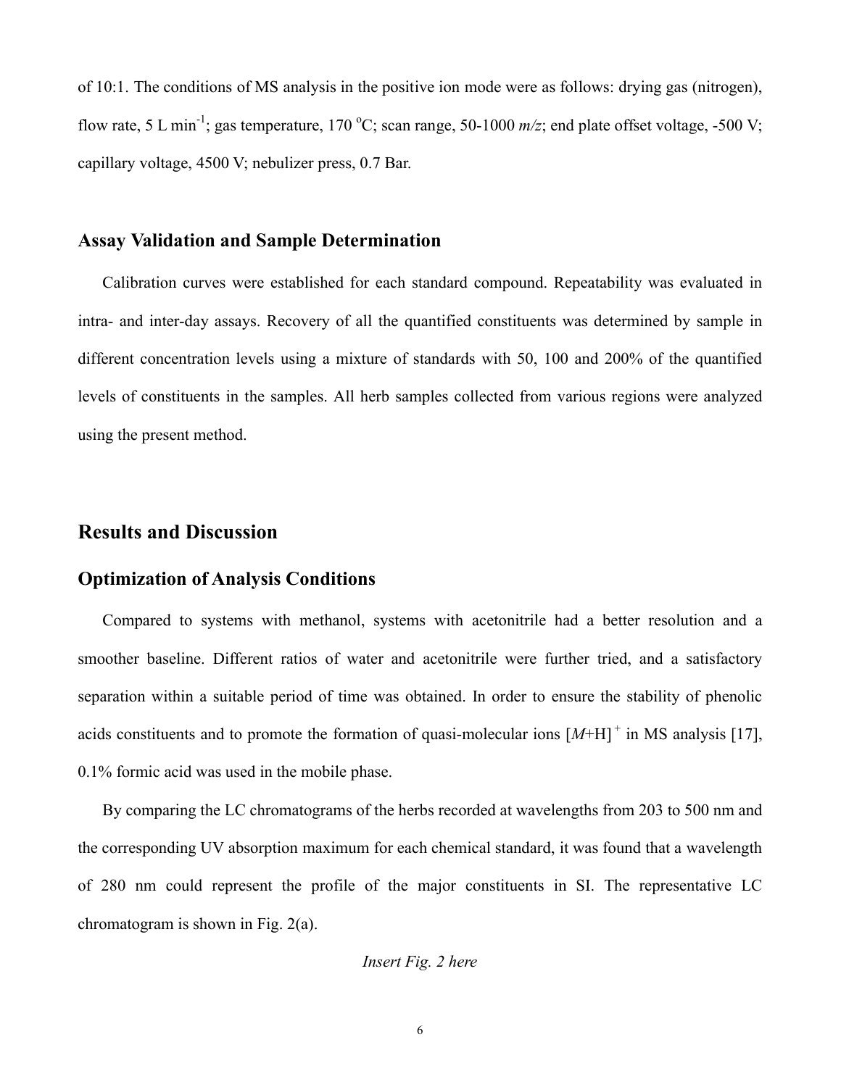of 10:1. The conditions of MS analysis in the positive ion mode were as follows: drying gas (nitrogen), flow rate, 5 L min<sup>-1</sup>; gas temperature, 170 °C; scan range, 50-1000  $m/z$ ; end plate offset voltage, -500 V; capillary voltage, 4500 V; nebulizer press, 0.7 Bar.

#### **Assay Validation and Sample Determination**

Calibration curves were established for each standard compound. Repeatability was evaluated in intra- and inter-day assays. Recovery of all the quantified constituents was determined by sample in different concentration levels using a mixture of standards with 50, 100 and 200% of the quantified levels of constituents in the samples. All herb samples collected from various regions were analyzed using the present method.

## **Results and Discussion**

### **Optimization of Analysis Conditions**

Compared to systems with methanol, systems with acetonitrile had a better resolution and a smoother baseline. Different ratios of water and acetonitrile were further tried, and a satisfactory separation within a suitable period of time was obtained. In order to ensure the stability of phenolic acids constituents and to promote the formation of quasi-molecular ions  $[M+H]$ <sup>+</sup> in MS analysis [17], 0.1% formic acid was used in the mobile phase.

By comparing the LC chromatograms of the herbs recorded at wavelengths from 203 to 500 nm and the corresponding UV absorption maximum for each chemical standard, it was found that a wavelength of 280 nm could represent the profile of the major constituents in SI. The representative LC chromatogram is shown in Fig. 2(a).

#### *Insert Fig. 2 here*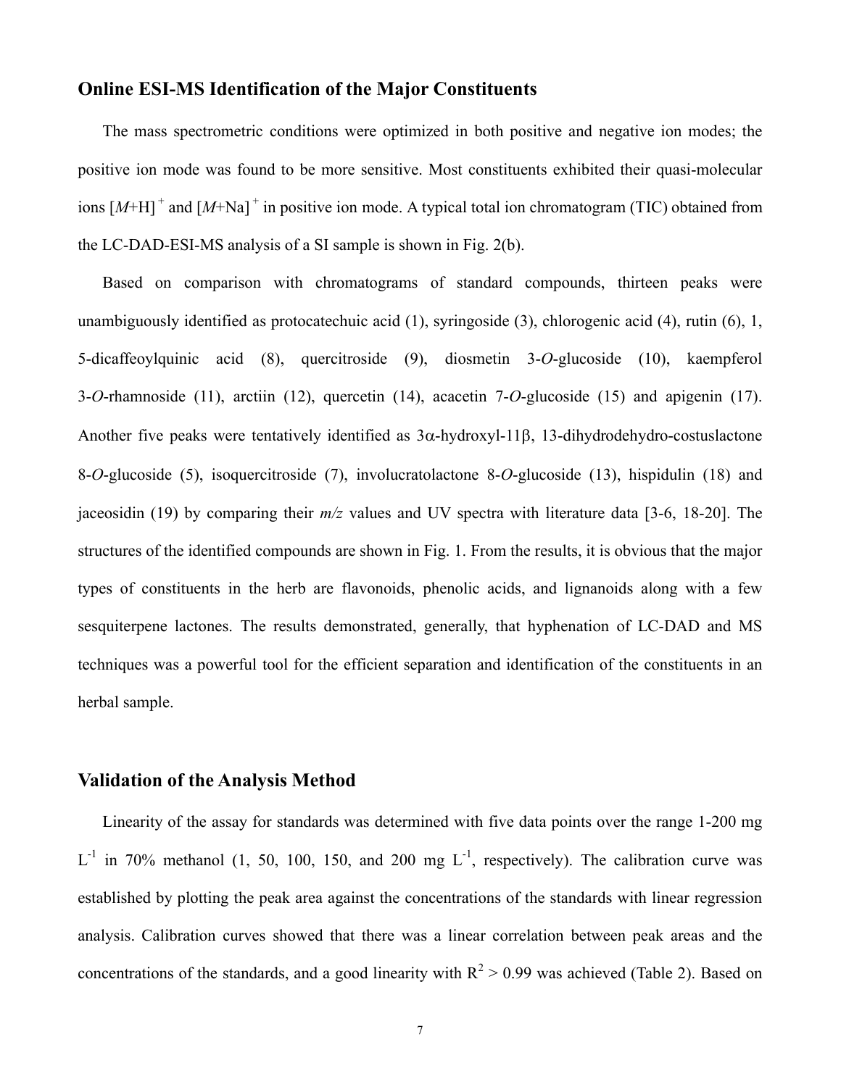### **Online ESI-MS Identification of the Major Constituents**

The mass spectrometric conditions were optimized in both positive and negative ion modes; the positive ion mode was found to be more sensitive. Most constituents exhibited their quasi-molecular ions  $[M+H]$ <sup>+</sup> and  $[M+Na]$ <sup>+</sup> in positive ion mode. A typical total ion chromatogram (TIC) obtained from the LC-DAD-ESI-MS analysis of a SI sample is shown in Fig. 2(b).

Based on comparison with chromatograms of standard compounds, thirteen peaks were unambiguously identified as protocatechuic acid (1), syringoside (3), chlorogenic acid (4), rutin (6), 1, 5-dicaffeoylquinic acid (8), quercitroside (9), diosmetin 3-*O*-glucoside (10), kaempferol 3-*O*-rhamnoside (11), arctiin (12), quercetin (14), acacetin 7-*O*-glucoside (15) and apigenin (17). Another five peaks were tentatively identified as  $3\alpha$ -hydroxyl-11 $\beta$ , 13-dihydrodehydro-costuslactone 8-*O*-glucoside (5), isoquercitroside (7), involucratolactone 8-*O*-glucoside (13), hispidulin (18) and jaceosidin (19) by comparing their *m/z* values and UV spectra with literature data [3-6, 18-20]. The structures of the identified compounds are shown in Fig. 1. From the results, it is obvious that the major types of constituents in the herb are flavonoids, phenolic acids, and lignanoids along with a few sesquiterpene lactones. The results demonstrated, generally, that hyphenation of LC-DAD and MS techniques was a powerful tool for the efficient separation and identification of the constituents in an herbal sample.

### **Validation of the Analysis Method**

Linearity of the assay for standards was determined with five data points over the range 1-200 mg  $L^{-1}$  in 70% methanol (1, 50, 100, 150, and 200 mg  $L^{-1}$ , respectively). The calibration curve was established by plotting the peak area against the concentrations of the standards with linear regression analysis. Calibration curves showed that there was a linear correlation between peak areas and the concentrations of the standards, and a good linearity with  $R^2 > 0.99$  was achieved (Table 2). Based on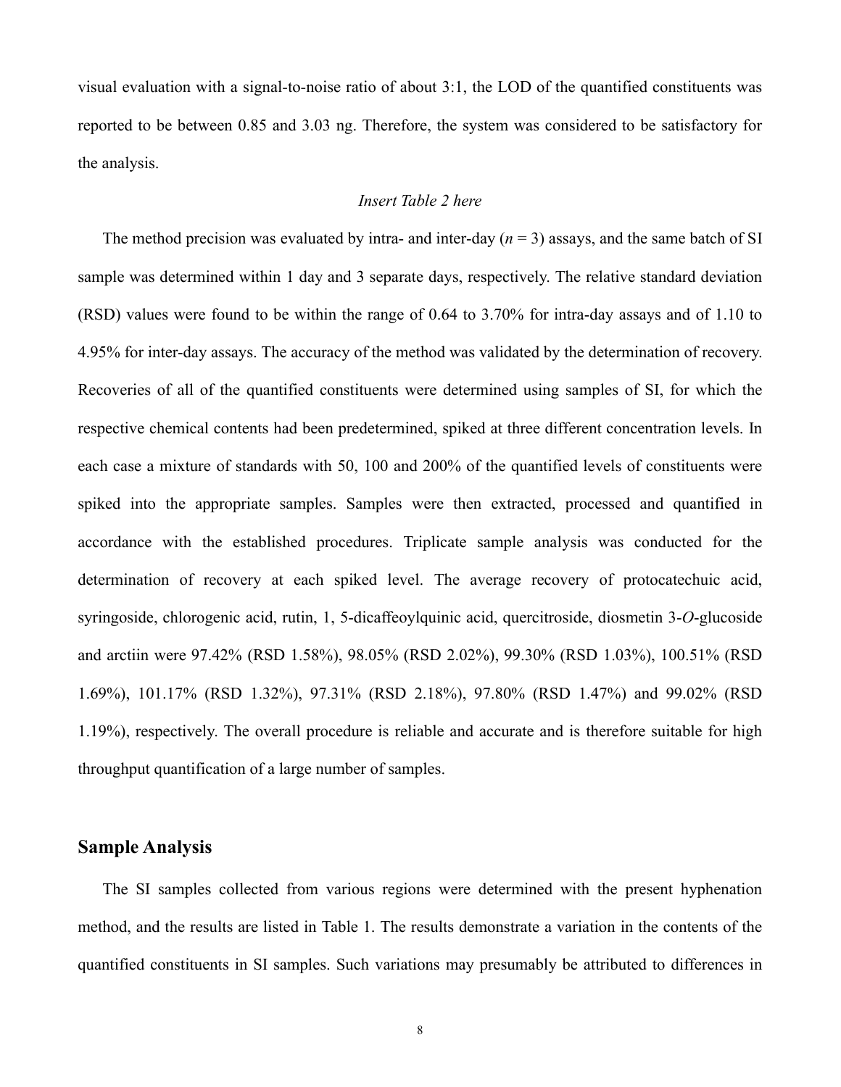visual evaluation with a signal-to-noise ratio of about 3:1, the LOD of the quantified constituents was reported to be between 0.85 and 3.03 ng. Therefore, the system was considered to be satisfactory for the analysis.

#### *Insert Table 2 here*

The method precision was evaluated by intra- and inter-day  $(n = 3)$  assays, and the same batch of SI sample was determined within 1 day and 3 separate days, respectively. The relative standard deviation (RSD) values were found to be within the range of 0.64 to 3.70% for intra-day assays and of 1.10 to 4.95% for inter-day assays. The accuracy of the method was validated by the determination of recovery. Recoveries of all of the quantified constituents were determined using samples of SI, for which the respective chemical contents had been predetermined, spiked at three different concentration levels. In each case a mixture of standards with 50, 100 and 200% of the quantified levels of constituents were spiked into the appropriate samples. Samples were then extracted, processed and quantified in accordance with the established procedures. Triplicate sample analysis was conducted for the determination of recovery at each spiked level. The average recovery of protocatechuic acid, syringoside, chlorogenic acid, rutin, 1, 5-dicaffeoylquinic acid, quercitroside, diosmetin 3-*O*-glucoside and arctiin were 97.42% (RSD 1.58%), 98.05% (RSD 2.02%), 99.30% (RSD 1.03%), 100.51% (RSD 1.69%), 101.17% (RSD 1.32%), 97.31% (RSD 2.18%), 97.80% (RSD 1.47%) and 99.02% (RSD 1.19%), respectively. The overall procedure is reliable and accurate and is therefore suitable for high throughput quantification of a large number of samples.

### **Sample Analysis**

The SI samples collected from various regions were determined with the present hyphenation method, and the results are listed in Table 1. The results demonstrate a variation in the contents of the quantified constituents in SI samples. Such variations may presumably be attributed to differences in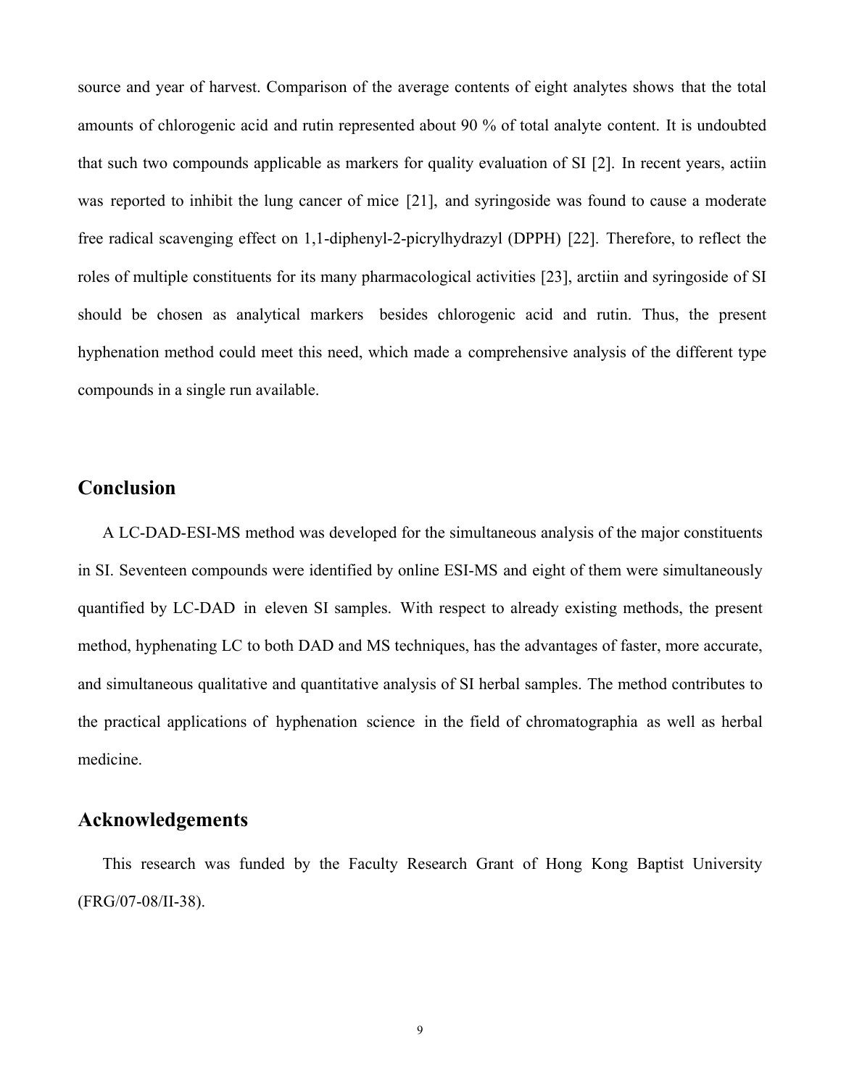source and year of harvest. Comparison of the average contents of eight analytes shows that the total amounts of chlorogenic acid and rutin represented about 90 % of total analyte content. It is undoubted that such two compounds applicable as markers for quality evaluation of SI [2]. In recent years, actiin was reported to inhibit the lung cancer of mice [21], and syringoside was found to cause a moderate free radical scavenging effect on 1,1-diphenyl-2-picrylhydrazyl (DPPH) [22]. Therefore, to reflect the roles of multiple constituents for its many pharmacological activities [23], arctiin and syringoside of SI should be chosen as analytical markers besides chlorogenic acid and rutin. Thus, the present hyphenation method could meet this need, which made a comprehensive analysis of the different type compounds in a single run available.

# **Conclusion**

A LC-DAD-ESI-MS method was developed for the simultaneous analysis of the major constituents in SI. Seventeen compounds were identified by online ESI-MS and eight of them were simultaneously quantified by LC-DAD in eleven SI samples. With respect to already existing methods, the present method, hyphenating LC to both DAD and MS techniques, has the advantages of faster, more accurate, and simultaneous qualitative and quantitative analysis of SI herbal samples. The method contributes to the practical applications of hyphenation science in the field of chromatographia as well as herbal medicine.

# **Acknowledgements**

This research was funded by the Faculty Research Grant of Hong Kong Baptist University (FRG/07-08/II-38).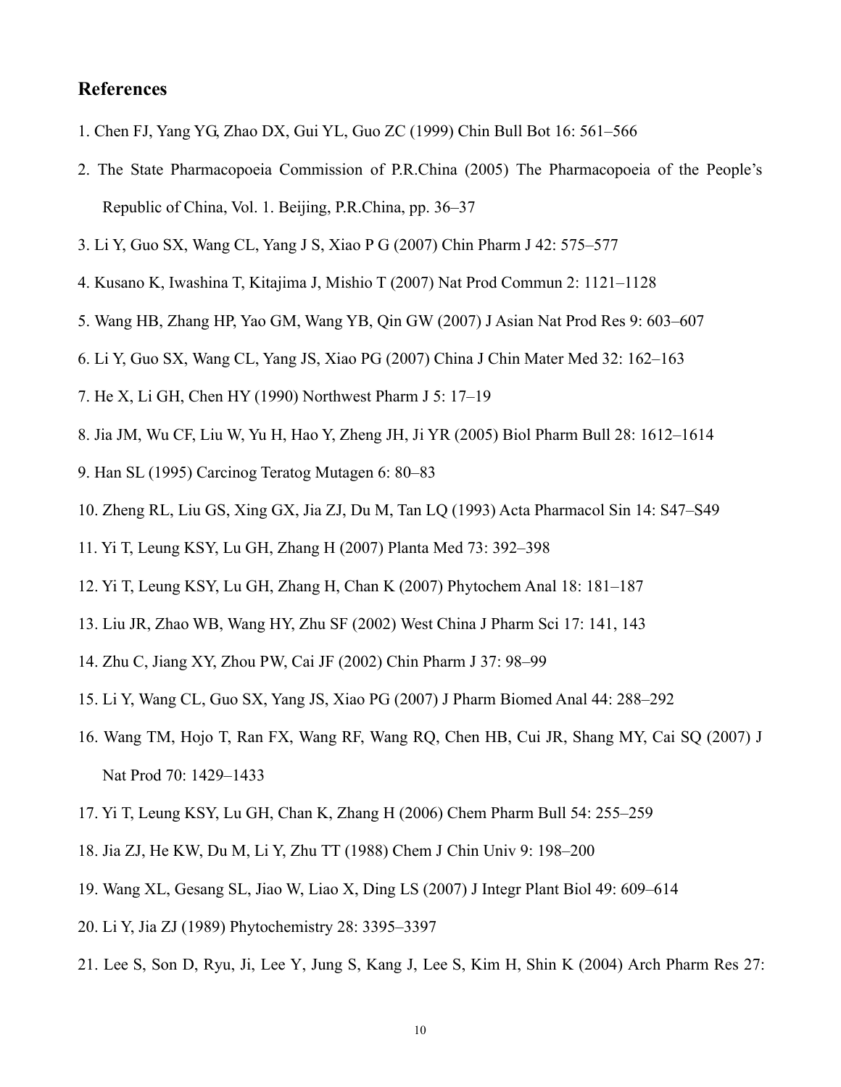## **References**

- 1. Chen FJ, Yang YG, Zhao DX, Gui YL, Guo ZC (1999) Chin Bull Bot 16: 561–566
- 2. The State Pharmacopoeia Commission of P.R.China (2005) The Pharmacopoeia of the People's Republic of China, Vol. 1. Beijing, P.R.China, pp. 36–37
- 3. Li Y, Guo SX, Wang CL, Yang J S, Xiao P G (2007) Chin Pharm J 42: 575–577
- 4. Kusano K, Iwashina T, Kitajima J, Mishio T (2007) Nat Prod Commun 2: 1121–1128
- 5. Wang HB, Zhang HP, Yao GM, Wang YB, Qin GW (2007) J Asian Nat Prod Res 9: 603–607
- 6. Li Y, Guo SX, Wang CL, Yang JS, Xiao PG (2007) China J Chin Mater Med 32: 162–163
- 7. He X, Li GH, Chen HY (1990) Northwest Pharm J 5: 17–19
- 8. Jia JM, Wu CF, Liu W, Yu H, Hao Y, Zheng JH, Ji YR (2005) Biol Pharm Bull 28: 1612–1614
- 9. Han SL (1995) Carcinog Teratog Mutagen 6: 80–83
- 10. Zheng RL, Liu GS, Xing GX, Jia ZJ, Du M, Tan LQ (1993) Acta Pharmacol Sin 14: S47–S49
- 11. Yi T, Leung KSY, Lu GH, Zhang H (2007) Planta Med 73: 392–398
- 12. Yi T, Leung KSY, Lu GH, Zhang H, Chan K (2007) Phytochem Anal 18: 181–187
- 13. Liu JR, Zhao WB, Wang HY, Zhu SF (2002) West China J Pharm Sci 17: 141, 143
- 14. Zhu C, Jiang XY, Zhou PW, Cai JF (2002) Chin Pharm J 37: 98–99
- 15. Li Y, Wang CL, Guo SX, Yang JS, Xiao PG (2007) J Pharm Biomed Anal 44: 288–292
- 16. Wang TM, Hojo T, Ran FX, Wang RF, Wang RQ, Chen HB, Cui JR, Shang MY, Cai SQ (2007) J Nat Prod 70: 1429–1433
- 17. Yi T, Leung KSY, Lu GH, Chan K, Zhang H (2006) Chem Pharm Bull 54: 255–259
- 18. Jia ZJ, He KW, Du M, Li Y, Zhu TT (1988) Chem J Chin Univ 9: 198–200
- 19. Wang XL, Gesang SL, Jiao W, Liao X, Ding LS (2007) J Integr Plant Biol 49: 609–614
- 20. Li Y, Jia ZJ (1989) Phytochemistry 28: 3395–3397
- 21. Lee S, Son D, Ryu, Ji, Lee Y, Jung S, Kang J, Lee S, Kim H, Shin K (2004) Arch Pharm Res 27: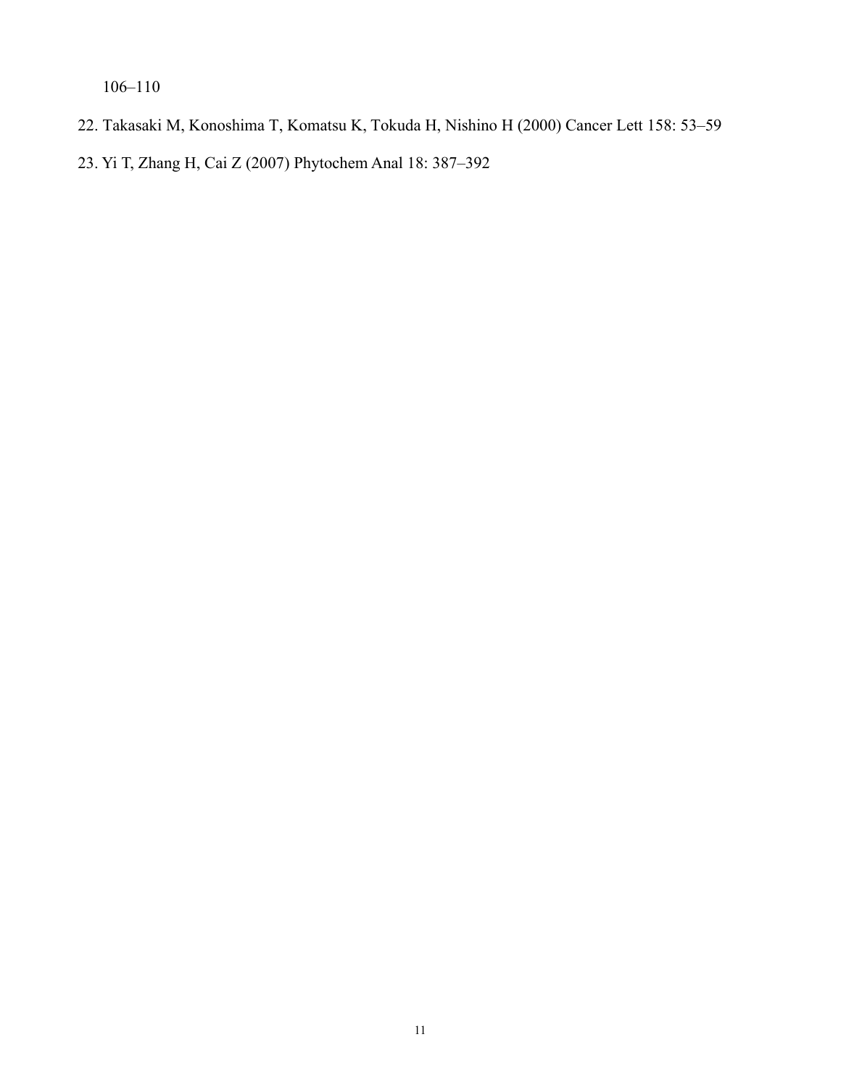106–110

22. Takasaki M, Konoshima T, Komatsu K, Tokuda H, Nishino H (2000) Cancer Lett 158: 53–59

23. Yi T, Zhang H, Cai Z (2007) Phytochem Anal 18: 387–392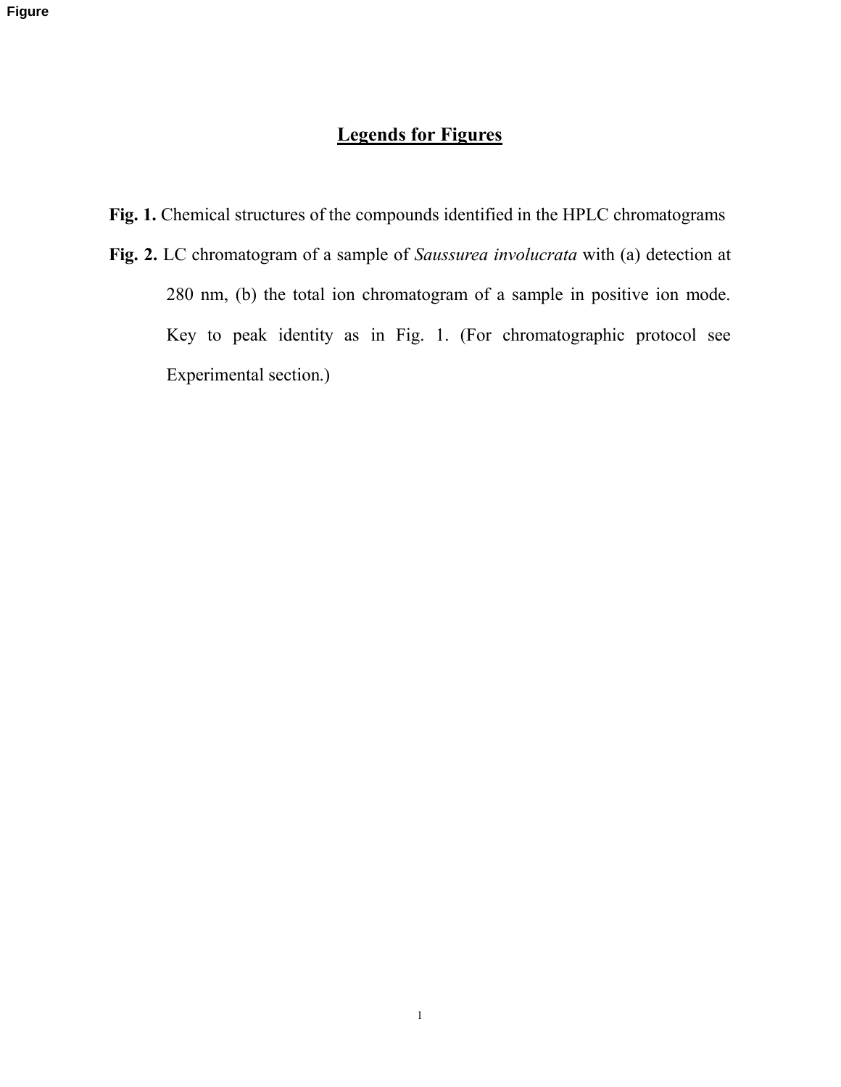## **Legends for Figures**

**Fig. 1.** Chemical structures of the compounds identified in the HPLC chromatograms

**Fig. 2.** LC chromatogram of a sample of *Saussurea involucrata* with (a) detection at 280 nm, (b) the total ion chromatogram of a sample in positive ion mode. Key to peak identity as in Fig. 1. (For chromatographic protocol see Experimental section.)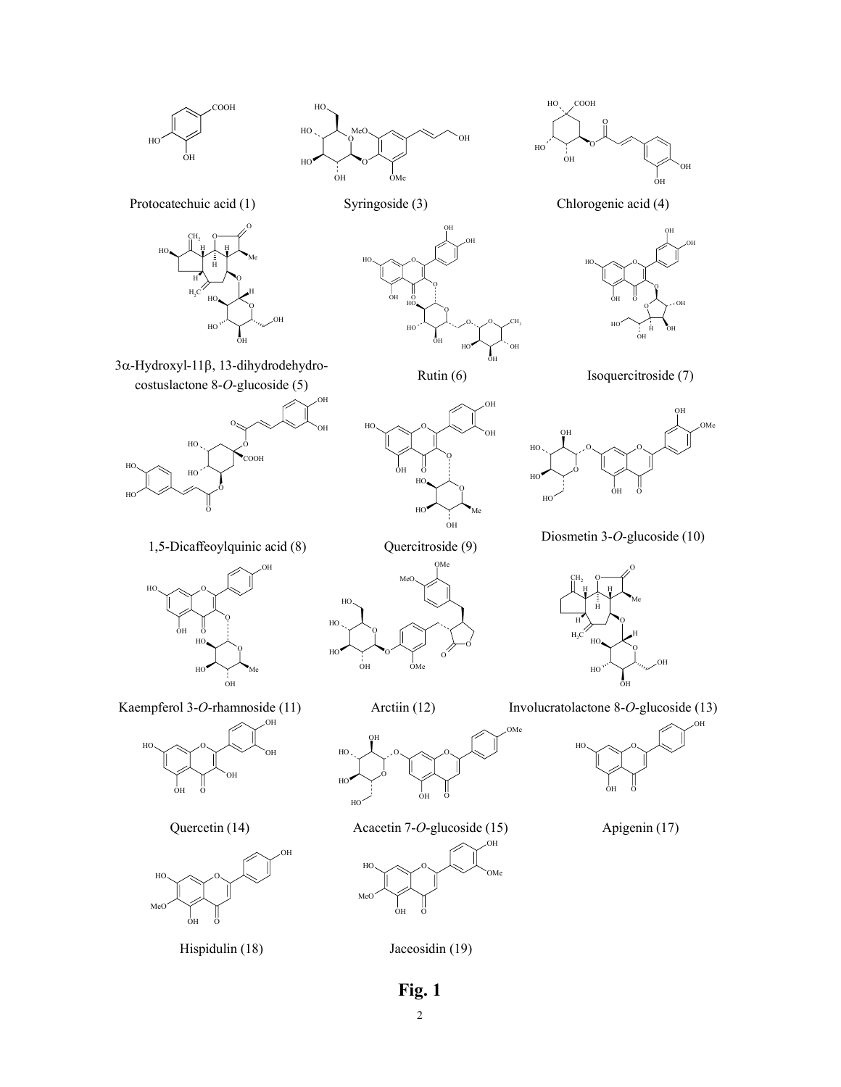

2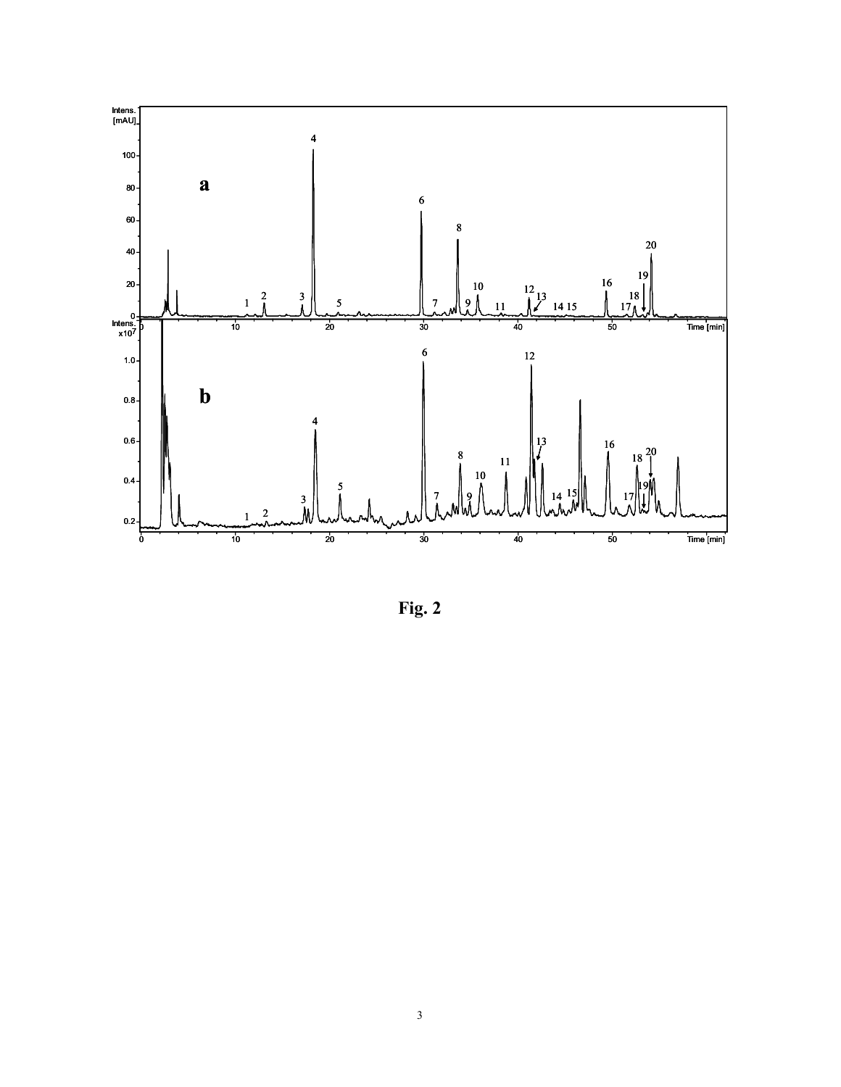

**Fig. 2**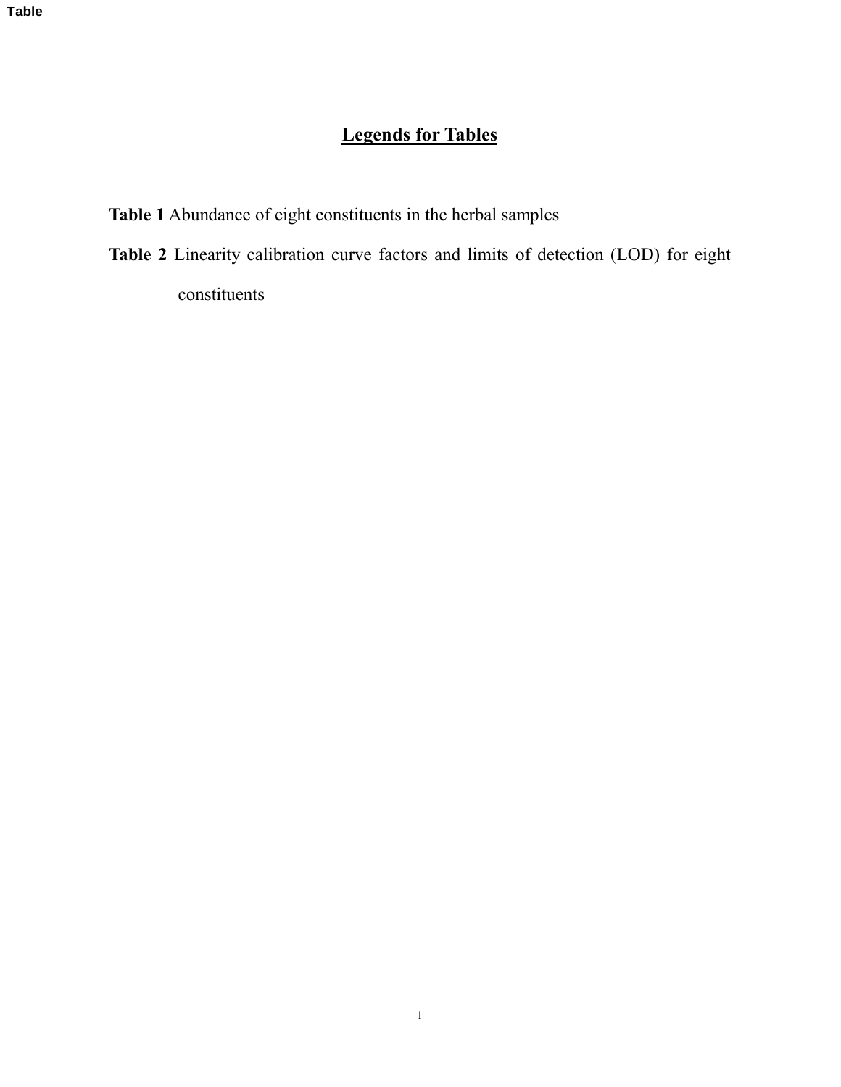# **Legends for Tables**

- **Table 1** Abundance of eight constituents in the herbal samples
- **Table 2** Linearity calibration curve factors and limits of detection (LOD) for eight constituents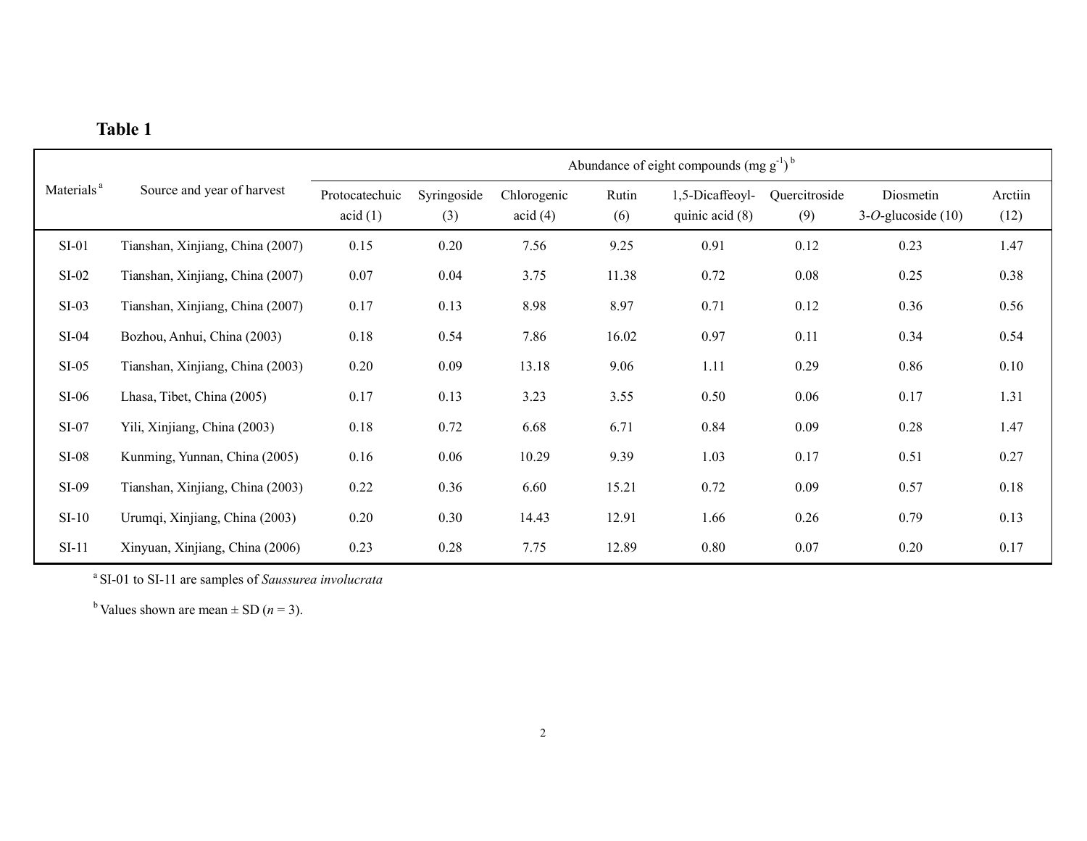| anı<br>к<br>., |  |
|----------------|--|
|----------------|--|

|                        | Source and year of harvest       | Abundance of eight compounds $(mg g^{-1})^b$ |                    |                        |              |                                      |                      |                                    |                 |
|------------------------|----------------------------------|----------------------------------------------|--------------------|------------------------|--------------|--------------------------------------|----------------------|------------------------------------|-----------------|
| Materials <sup>a</sup> |                                  | Protocatechuic<br>acid(1)                    | Syringoside<br>(3) | Chlorogenic<br>acid(4) | Rutin<br>(6) | 1,5-Dicaffeoyl-<br>quinic acid $(8)$ | Quercitroside<br>(9) | Diosmetin<br>$3-O$ -glucoside (10) | Arctiin<br>(12) |
| $SI-01$                | Tianshan, Xinjiang, China (2007) | 0.15                                         | 0.20               | 7.56                   | 9.25         | 0.91                                 | 0.12                 | 0.23                               | 1.47            |
| $SI-02$                | Tianshan, Xinjiang, China (2007) | 0.07                                         | 0.04               | 3.75                   | 11.38        | 0.72                                 | 0.08                 | 0.25                               | 0.38            |
| $SI-03$                | Tianshan, Xinjiang, China (2007) | 0.17                                         | 0.13               | 8.98                   | 8.97         | 0.71                                 | 0.12                 | 0.36                               | 0.56            |
| $SI-04$                | Bozhou, Anhui, China (2003)      | 0.18                                         | 0.54               | 7.86                   | 16.02        | 0.97                                 | 0.11                 | 0.34                               | 0.54            |
| $SI-05$                | Tianshan, Xinjiang, China (2003) | 0.20                                         | 0.09               | 13.18                  | 9.06         | 1.11                                 | 0.29                 | 0.86                               | 0.10            |
| $SI-06$                | Lhasa, Tibet, China (2005)       | 0.17                                         | 0.13               | 3.23                   | 3.55         | 0.50                                 | 0.06                 | 0.17                               | 1.31            |
| $SI-07$                | Yili, Xinjiang, China (2003)     | 0.18                                         | 0.72               | 6.68                   | 6.71         | 0.84                                 | 0.09                 | 0.28                               | 1.47            |
| $SI-08$                | Kunming, Yunnan, China (2005)    | 0.16                                         | 0.06               | 10.29                  | 9.39         | 1.03                                 | 0.17                 | 0.51                               | 0.27            |
| SI-09                  | Tianshan, Xinjiang, China (2003) | 0.22                                         | 0.36               | 6.60                   | 15.21        | 0.72                                 | 0.09                 | 0.57                               | 0.18            |
| $SI-10$                | Urumqi, Xinjiang, China (2003)   | 0.20                                         | 0.30               | 14.43                  | 12.91        | 1.66                                 | 0.26                 | 0.79                               | 0.13            |
| $SI-11$                | Xinyuan, Xinjiang, China (2006)  | 0.23                                         | 0.28               | 7.75                   | 12.89        | 0.80                                 | 0.07                 | 0.20                               | 0.17            |

a SI-01 to SI-11 are samples of *Saussurea involucrata*

<sup>b</sup> Values shown are mean  $\pm$  SD (*n* = 3).